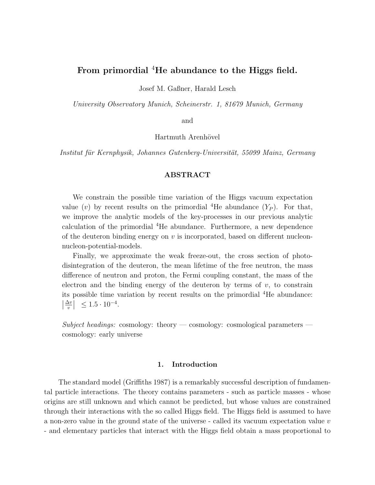# From primordial <sup>4</sup>He abundance to the Higgs field.

Josef M. Gaßner, Harald Lesch

University Observatory Munich, Scheinerstr. 1, 81679 Munich, Germany

and

Hartmuth Arenhövel

Institut für Kernphysik, Johannes Gutenberg-Universität, 55099 Mainz, Germany

# ABSTRACT

We constrain the possible time variation of the Higgs vacuum expectation value (v) by recent results on the primordial <sup>4</sup>He abundance  $(Y_P)$ . For that, we improve the analytic models of the key-processes in our previous analytic calculation of the primordial <sup>4</sup>He abundance. Furthermore, a new dependence of the deuteron binding energy on  $v$  is incorporated, based on different nucleonnucleon-potential-models.

Finally, we approximate the weak freeze-out, the cross section of photodisintegration of the deuteron, the mean lifetime of the free neutron, the mass difference of neutron and proton, the Fermi coupling constant, the mass of the electron and the binding energy of the deuteron by terms of  $v$ , to constrain its possible time variation by recent results on the primordial  ${}^{4}$ He abundance:  $\frac{\Delta v}{v}$  $\frac{\Delta v}{v}$   $\leq 1.5 \cdot 10^{-4}$ .

Subject headings: cosmology: theory — cosmology: cosmological parameters cosmology: early universe

## 1. Introduction

The standard model (Griffiths 1987) is a remarkably successful description of fundamental particle interactions. The theory contains parameters - such as particle masses - whose origins are still unknown and which cannot be predicted, but whose values are constrained through their interactions with the so called Higgs field. The Higgs field is assumed to have a non-zero value in the ground state of the universe - called its vacuum expectation value v - and elementary particles that interact with the Higgs field obtain a mass proportional to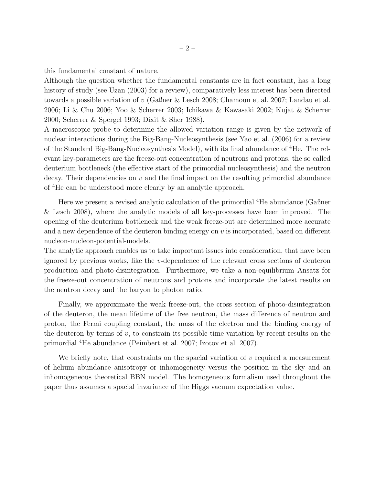this fundamental constant of nature.

Although the question whether the fundamental constants are in fact constant, has a long history of study (see Uzan  $(2003)$  for a review), comparatively less interest has been directed towards a possible variation of v (Gaßner & Lesch 2008; Chamoun et al. 2007; Landau et al. 2006; Li & Chu 2006; Yoo & Scherrer 2003; Ichikawa & Kawasaki 2002; Kujat & Scherrer 2000; Scherrer & Spergel 1993; Dixit & Sher 1988).

A macroscopic probe to determine the allowed variation range is given by the network of nuclear interactions during the Big-Bang-Nucleosynthesis (see Yao et al. (2006) for a review of the Standard Big-Bang-Nucleosynthesis Model), with its final abundance of <sup>4</sup>He. The relevant key-parameters are the freeze-out concentration of neutrons and protons, the so called deuterium bottleneck (the effective start of the primordial nucleosynthesis) and the neutron decay. Their dependencies on  $v$  and the final impact on the resulting primordial abundance of <sup>4</sup>He can be understood more clearly by an analytic approach.

Here we present a revised analytic calculation of the primordial <sup>4</sup>He abundance (Gaßner & Lesch 2008), where the analytic models of all key-processes have been improved. The opening of the deuterium bottleneck and the weak freeze-out are determined more accurate and a new dependence of the deuteron binding energy on  $v$  is incorporated, based on different nucleon-nucleon-potential-models.

The analytic approach enables us to take important issues into consideration, that have been ignored by previous works, like the v-dependence of the relevant cross sections of deuteron production and photo-disintegration. Furthermore, we take a non-equilibrium Ansatz for the freeze-out concentration of neutrons and protons and incorporate the latest results on the neutron decay and the baryon to photon ratio.

Finally, we approximate the weak freeze-out, the cross section of photo-disintegration of the deuteron, the mean lifetime of the free neutron, the mass difference of neutron and proton, the Fermi coupling constant, the mass of the electron and the binding energy of the deuteron by terms of  $v$ , to constrain its possible time variation by recent results on the primordial <sup>4</sup>He abundance (Peimbert et al. 2007; Izotov et al. 2007).

We briefly note, that constraints on the spacial variation of  $v$  required a measurement of helium abundance anisotropy or inhomogeneity versus the position in the sky and an inhomogeneous theoretical BBN model. The homogeneous formalism used throughout the paper thus assumes a spacial invariance of the Higgs vacuum expectation value.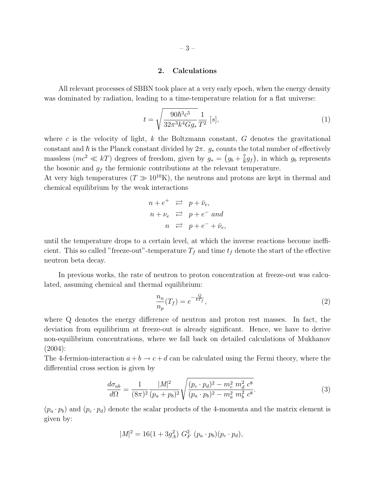### 2. Calculations

All relevant processes of SBBN took place at a very early epoch, when the energy density was dominated by radiation, leading to a time-temperature relation for a flat universe:

$$
t = \sqrt{\frac{90\hbar^3 c^5}{32\pi^3 k^4 G g_*}} \frac{1}{T^2} [s],\tag{1}
$$

where c is the velocity of light,  $k$  the Boltzmann constant,  $G$  denotes the gravitational constant and  $\hbar$  is the Planck constant divided by  $2\pi$ .  $g_*$  counts the total number of effectively massless  $(mc^2 \ll kT)$  degrees of freedom, given by  $g_* = (g_b + \frac{7}{8})$  $(\frac{7}{8}g_f)$ , in which  $g_b$  represents the bosonic and  $g_f$  the fermionic contributions at the relevant temperature.

At very high temperatures  $(T \gg 10^{10} \text{K})$ , the neutrons and protons are kept in thermal and chemical equilibrium by the weak interactions

$$
n + e^{+} \quad \rightleftarrows \quad p + \bar{\nu}_e,
$$
  
\n
$$
n + \nu_e \quad \rightleftarrows \quad p + e^{-} \quad \text{and}
$$
  
\n
$$
n \quad \rightleftarrows \quad p + e^{-} + \bar{\nu}_e,
$$

until the temperature drops to a certain level, at which the inverse reactions become inefficient. This so called "freeze-out"-temperature  $T_f$  and time  $t_f$  denote the start of the effective neutron beta decay.

In previous works, the rate of neutron to proton concentration at freeze-out was calculated, assuming chemical and thermal equilibrium:

$$
\frac{n_n}{n_p}(T_f) = e^{-\frac{Q}{kT_f}},\tag{2}
$$

where Q denotes the energy difference of neutron and proton rest masses. In fact, the deviation from equilibrium at freeze-out is already significant. Hence, we have to derive non-equilibrium concentrations, where we fall back on detailed calculations of Mukhanov (2004):

The 4-fermion-interaction  $a + b \rightarrow c + d$  can be calculated using the Fermi theory, where the differential cross section is given by

$$
\frac{d\sigma_{ab}}{d\Omega} = \frac{1}{(8\pi)^2} \frac{|M|^2}{(p_a + p_b)^2} \sqrt{\frac{(p_c \cdot p_d)^2 - m_c^2 m_d^2 c^8}{(p_a \cdot p_b)^2 - m_a^2 m_b^2 c^8}}.
$$
\n(3)

 $(p_a \cdot p_b)$  and  $(p_c \cdot p_d)$  denote the scalar products of the 4-momenta and the matrix element is given by:

$$
|M|^2 = 16(1 + 3g_A^2) G_F^2 (p_a \cdot p_b)(p_c \cdot p_d),
$$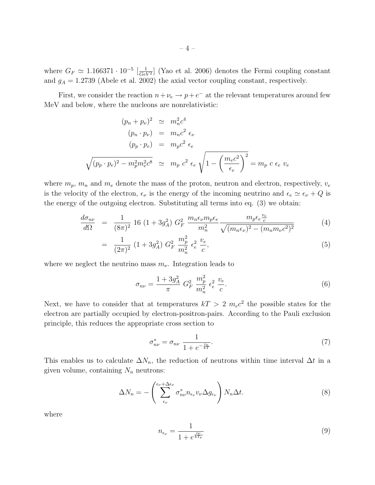where  $G_F \simeq 1.166371 \cdot 10^{-5} \left[ \frac{1}{Ge^{2}} \right]$  $\frac{1}{GeV^2}$  (Yao et al. 2006) denotes the Fermi coupling constant and  $g_A = 1.2739$  (Abele et al. 2002) the axial vector coupling constant, respectively.

First, we consider the reaction  $n+\nu_e \rightarrow p+e^-$  at the relevant temperatures around few MeV and below, where the nucleons are nonrelativistic:

$$
(p_n + p_\nu)^2 \simeq m_n^2 c^4
$$
  
\n
$$
(p_n \cdot p_\nu) = m_n c^2 \epsilon_\nu
$$
  
\n
$$
(p_p \cdot p_e) = m_p c^2 \epsilon_e
$$
  
\n
$$
\sqrt{(p_p \cdot p_e)^2 - m_p^2 m_e^2 c^8} \simeq m_p c^2 \epsilon_e \sqrt{1 - \left(\frac{m_e c^2}{\epsilon_e}\right)^2} = m_p c \epsilon_e v_e
$$

where  $m_p$ ,  $m_n$  and  $m_e$  denote the mass of the proton, neutron and electron, respectively,  $v_e$ is the velocity of the electron,  $\epsilon_{\nu}$  is the energy of the incoming neutrino and  $\epsilon_{e} \simeq \epsilon_{\nu} + Q$  is the energy of the outgoing electron. Substituting all terms into eq. (3) we obtain:

$$
\frac{d\sigma_{n\nu}}{d\Omega} = \frac{1}{(8\pi)^2} 16 (1+3g_A^2) G_F^2 \frac{m_n \epsilon_\nu m_p \epsilon_e}{m_n^2} \frac{m_p \epsilon_e \frac{v_e}{c}}{\sqrt{(m_n \epsilon_\nu)^2 - (m_n m_\nu c^2)^2}}
$$
(4)

$$
= \frac{1}{(2\pi)^2} \left(1 + 3g_A^2\right) G_F^2 \frac{m_p^2}{m_n^2} \epsilon_e^2 \frac{v_e}{c}, \tag{5}
$$

where we neglect the neutrino mass  $m_{\nu}$ . Integration leads to

$$
\sigma_{n\nu} = \frac{1 + 3g_A^2}{\pi} \ G_F^2 \ \frac{m_p^2}{m_n^2} \ \epsilon_e^2 \ \frac{v_e}{c}.
$$
\n(6)

Next, we have to consider that at temperatures  $kT > 2$   $m_e c^2$  the possible states for the electron are partially occupied by electron-positron-pairs. According to the Pauli exclusion principle, this reduces the appropriate cross section to

$$
\sigma_{n\nu}^* = \sigma_{n\nu} \frac{1}{1 + e^{-\frac{\epsilon_e}{kT}}}.\tag{7}
$$

This enables us to calculate  $\Delta N_n$ , the reduction of neutrons within time interval  $\Delta t$  in a given volume, containing  $N_n$  neutrons:

$$
\Delta N_n = -\left(\sum_{\epsilon_\nu}^{\epsilon_\nu + \Delta \epsilon_\nu} \sigma_{n\nu}^* n_{\epsilon_\nu} v_\nu \Delta g_{\epsilon_\nu}\right) N_n \Delta t.
$$
\n(8)

where

$$
n_{\epsilon_{\nu}} = \frac{1}{1 + e^{\frac{\epsilon_{\nu}}{kT_{\nu}}}}
$$
(9)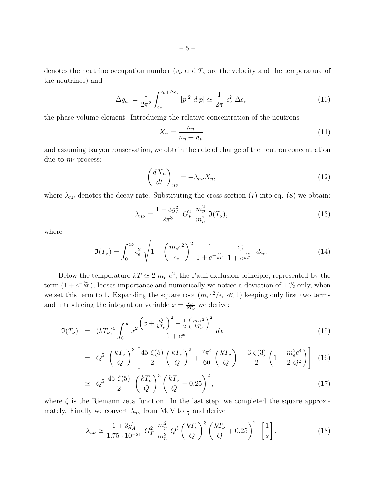denotes the neutrino occupation number  $(v_{\nu}$  and  $T_{\nu}$  are the velocity and the temperature of the neutrinos) and

$$
\Delta g_{\epsilon_{\nu}} = \frac{1}{2\pi^2} \int_{\epsilon_{\nu}}^{\epsilon_{\nu} + \Delta \epsilon_{\nu}} |p|^2 \ d|p| \simeq \frac{1}{2\pi} \ \epsilon_{\nu}^2 \ \Delta \epsilon_{\nu}
$$
 (10)

the phase volume element. Introducing the relative concentration of the neutrons

$$
X_n = \frac{n_n}{n_n + n_p} \tag{11}
$$

and assuming baryon conservation, we obtain the rate of change of the neutron concentration due to  $n\nu$ -process:

$$
\left(\frac{dX_n}{dt}\right)_{n\nu} = -\lambda_{n\nu} X_n,\tag{12}
$$

where  $\lambda_{n\nu}$  denotes the decay rate. Substituting the cross section (7) into eq. (8) we obtain:

$$
\lambda_{n\nu} = \frac{1 + 3g_A^2}{2\pi^3} G_F^2 \frac{m_p^2}{m_n^2} \mathfrak{I}(T_\nu),\tag{13}
$$

where

$$
\mathfrak{I}(T_{\nu}) = \int_0^{\infty} \epsilon_e^2 \sqrt{1 - \left(\frac{m_e c^2}{\epsilon_e}\right)^2} \frac{1}{1 + e^{-\frac{\epsilon_e}{kT}}} \frac{\epsilon_{\nu}^2}{1 + e^{\frac{\epsilon_{\nu}}{kT_{\nu}}}} d\epsilon_{\nu}.
$$
 (14)

Below the temperature  $kT \simeq 2$   $m_e c^2$ , the Pauli exclusion principle, represented by the term  $(1 + e^{-\frac{\epsilon_e}{kT}})$ , looses importance and numerically we notice a deviation of 1 % only, when we set this term to 1. Expanding the square root  $(m_ec^2/\epsilon_e \ll 1)$  keeping only first two terms and introducing the integration variable  $x = \frac{\epsilon_{\nu}}{kT}$  $\frac{\epsilon_{\nu}}{kT_{\nu}}$  we derive:

$$
\Im(T_{\nu}) = (kT_{\nu})^5 \int_0^{\infty} x^2 \frac{\left(x + \frac{Q}{kT_{\nu}}\right)^2 - \frac{1}{2} \left(\frac{m_e c^2}{kT_{\nu}}\right)^2}{1 + e^x} dx \tag{15}
$$

$$
= Q^{5} \left(\frac{kT_{\nu}}{Q}\right)^{3} \left[\frac{45 \zeta(5)}{2} \left(\frac{kT_{\nu}}{Q}\right)^{2} + \frac{7\pi^{4}}{60} \left(\frac{kT_{\nu}}{Q}\right) + \frac{3 \zeta(3)}{2} \left(1 - \frac{m_{e}^{2}c^{4}}{2 Q^{2}}\right)\right] (16)
$$

$$
\simeq Q^5 \frac{45 \zeta(5)}{2} \left(\frac{kT_{\nu}}{Q}\right)^3 \left(\frac{kT_{\nu}}{Q} + 0.25\right)^2,\tag{17}
$$

where  $\zeta$  is the Riemann zeta function. In the last step, we completed the square approximately. Finally we convert  $\lambda_{n\nu}$  from MeV to  $\frac{1}{s}$  and derive

$$
\lambda_{n\nu} \simeq \frac{1 + 3g_A^2}{1.75 \cdot 10^{-21}} G_F^2 \frac{m_p^2}{m_n^2} Q^5 \left(\frac{kT_\nu}{Q}\right)^3 \left(\frac{kT_\nu}{Q} + 0.25\right)^2 \left[\frac{1}{s}\right].
$$
 (18)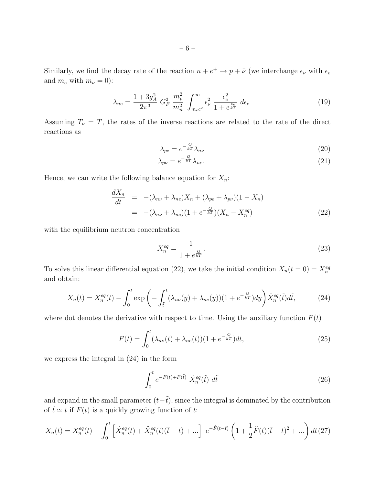Similarly, we find the decay rate of the reaction  $n + e^+ \to p + \bar{\nu}$  (we interchange  $\epsilon_{\nu}$  with  $\epsilon_{e}$ and  $m_e$  with  $m_\nu = 0$ ):

$$
\lambda_{ne} = \frac{1 + 3g_A^2}{2\pi^3} G_F^2 \frac{m_p^2}{m_n^2} \int_{m_e c^2}^{\infty} \epsilon_\nu^2 \frac{\epsilon_e^2}{1 + e^{\frac{\epsilon_e}{kT}}} d\epsilon_e \tag{19}
$$

Assuming  $T_{\nu} = T$ , the rates of the inverse reactions are related to the rate of the direct reactions as

$$
\lambda_{pe} = e^{-\frac{Q}{kT}} \lambda_{n\nu} \tag{20}
$$

$$
\lambda_{p\nu} = e^{-\frac{Q}{kT}} \lambda_{ne}.
$$
\n(21)

Hence, we can write the following balance equation for  $X_n$ :

$$
\frac{dX_n}{dt} = -(\lambda_{n\nu} + \lambda_{n e})X_n + (\lambda_{p e} + \lambda_{p\nu})(1 - X_n)
$$
  

$$
= -(\lambda_{n\nu} + \lambda_{n e})(1 + e^{-\frac{Q}{kT}})(X_n - X_n^{eq})
$$
(22)

with the equilibrium neutron concentration

$$
X_n^{eq} = \frac{1}{1 + e^{\frac{Q}{kT}}}.\t(23)
$$

To solve this linear differential equation (22), we take the initial condition  $X_n(t=0) = X_n^{eq}$ and obtain:

$$
X_n(t) = X_n^{eq}(t) - \int_0^t \exp\left(-\int_{\tilde{t}}^t (\lambda_{n\nu}(y) + \lambda_{n\epsilon}(y))(1 + e^{-\frac{Q}{kT}})dy\right) \dot{X}_n^{eq}(\tilde{t}) d\tilde{t},\tag{24}
$$

where dot denotes the derivative with respect to time. Using the auxiliary function  $F(t)$ 

$$
F(t) = \int_0^t (\lambda_{n\nu}(t) + \lambda_{n e}(t)) (1 + e^{-\frac{Q}{kT}}) dt,
$$
\n(25)

we express the integral in (24) in the form

$$
\int_0^t e^{-F(t)+F(\tilde{t})} \dot{X}_n^{eq}(\tilde{t}) d\tilde{t}
$$
\n(26)

and expand in the small parameter  $(t-\tilde{t})$ , since the integral is dominated by the contribution of  $\tilde{t} \simeq t$  if  $F(t)$  is a quickly growing function of t:

$$
X_n(t) = X_n^{eq}(t) - \int_0^t \left[ \dot{X}_n^{eq}(t) + \ddot{X}_n^{eq}(t) (\tilde{t} - t) + \dots \right] e^{-\dot{F}(t-\tilde{t})} \left( 1 + \frac{1}{2} \ddot{F}(t) (\tilde{t} - t)^2 + \dots \right) dt (27)
$$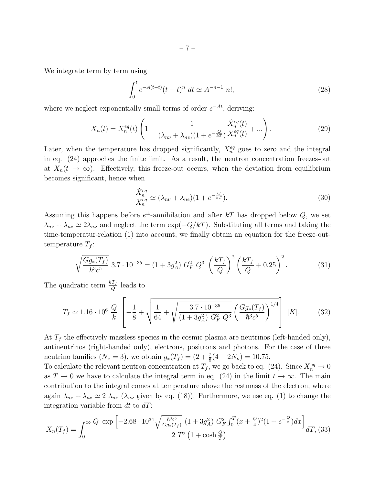We integrate term by term using

$$
\int_0^t e^{-A(t-\tilde{t})}(t-\tilde{t})^n d\tilde{t} \simeq A^{-n-1} n!,
$$
\n(28)

where we neglect exponentially small terms of order  $e^{-At}$ , deriving:

$$
X_n(t) = X_n^{eq}(t) \left( 1 - \frac{1}{(\lambda_{n\nu} + \lambda_{n e})(1 + e^{-\frac{Q}{kT}})} \frac{\dot{X}_n^{eq}(t)}{X_n^{eq}(t)} + \ldots \right).
$$
 (29)

Later, when the temperature has dropped significantly,  $X_n^{eq}$  goes to zero and the integral in eq. (24) approches the finite limit. As a result, the neutron concentration freezes-out at  $X_n(t \to \infty)$ . Effectively, this freeze-out occurs, when the deviation from equilibrium becomes significant, hence when

$$
\frac{\dot{X}_n^{eq}}{X_n^{eq}} \simeq (\lambda_{n\nu} + \lambda_{ne})(1 + e^{-\frac{Q}{kT}}). \tag{30}
$$

Assuming this happens before  $e^{\pm}$ -annihilation and after kT has dropped below Q, we set  $\lambda_{n\nu} + \lambda_{n e} \simeq 2\lambda_{n\nu}$  and neglect the term exp( $-Q/kT$ ). Substituting all terms and taking the time-temperatur-relation (1) into account, we finally obtain an equation for the freeze-outtemperature  $T_f$ :

$$
\sqrt{\frac{Gg_*(T_f)}{\hbar^3 c^5}} 3.7 \cdot 10^{-35} = (1 + 3g_A^2) G_F^2 Q^3 \left(\frac{kT_f}{Q}\right)^2 \left(\frac{kT_f}{Q} + 0.25\right)^2.
$$
 (31)

The quadratic term  $\frac{kT_f}{Q}$  leads to

$$
T_f \simeq 1.16 \cdot 10^6 \frac{Q}{k} \left[ -\frac{1}{8} + \sqrt{\frac{1}{64} + \sqrt{\frac{3.7 \cdot 10^{-35}}{(1 + 3g_A^2) G_F^2 Q^3} \left( \frac{Gg_*(T_f)}{\hbar^3 c^5} \right)^{1/4}} \right] [K]. \tag{32}
$$

At  $T_f$  the effectively massless species in the cosmic plasma are neutrinos (left-handed only), antineutrinos (right-handed only), electrons, positrons and photons. For the case of three neutrino families  $(N_{\nu} = 3)$ , we obtain  $g_*(T_f) = (2 + \frac{7}{8}(4 + 2N_{\nu}) = 10.75$ .

To calculate the relevant neutron concentration at  $T_f$ , we go back to eq. (24). Since  $X_n^{eq} \to 0$ as  $T \to 0$  we have to calculate the integral term in eq. (24) in the limit  $t \to \infty$ . The main contribution to the integral comes at temperature above the restmass of the electron, where again  $\lambda_{n\nu} + \lambda_{n e} \simeq 2 \lambda_{n\nu}$  ( $\lambda_{n\nu}$  given by eq. (18)). Furthermore, we use eq. (1) to change the integration variable from  $dt$  to  $dT$ :

$$
X_n(T_f) = \int_0^\infty \frac{Q \exp\left[-2.68 \cdot 10^{34} \sqrt{\frac{\hbar^3 c^5}{G g_*(T_f)}} (1 + 3 g_A^2) G_F^2 \int_0^T (x + \frac{Q}{4})^2 (1 + e^{-\frac{Q}{x}}) dx\right]}{2 T^2 \left(1 + \cosh \frac{Q}{T}\right)} dT,
$$
(33)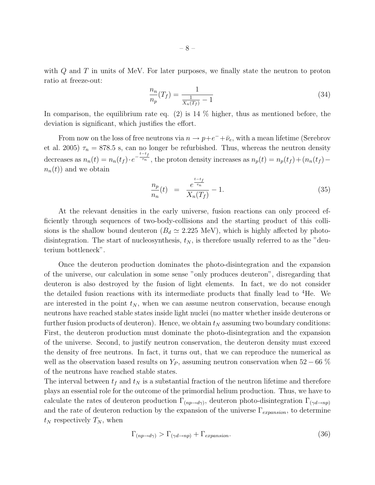with  $Q$  and  $T$  in units of MeV. For later purposes, we finally state the neutron to proton ratio at freeze-out:

$$
\frac{n_n}{n_p}(T_f) = \frac{1}{\frac{1}{X_n(T_f)} - 1} \tag{34}
$$

In comparison, the equilibrium rate eq.  $(2)$  is 14 % higher, thus as mentioned before, the deviation is significant, which justifies the effort.

From now on the loss of free neutrons via  $n \to p + e^- + \bar{\nu}_e$ , with a mean lifetime (Serebrov et al. 2005)  $\tau_n = 878.5$  s, can no longer be refurbished. Thus, whereas the neutron density decreases as  $n_n(t) = n_n(t_f) \cdot e^{-\frac{t-t_f}{\tau_n}}$ , the proton density increases as  $n_p(t) = n_p(t_f) + (n_n(t_f)$  $n_n(t)$  and we obtain

$$
\frac{n_p}{n_n}(t) = \frac{e^{\frac{t-t_f}{\tau_n}}}{X_n(T_f)} - 1.
$$
\n(35)

At the relevant densities in the early universe, fusion reactions can only proceed efficiently through sequences of two-body-collisions and the starting product of this collisions is the shallow bound deuteron  $(B_d \simeq 2.225 \text{ MeV})$ , which is highly affected by photodisintegration. The start of nucleosynthesis,  $t_N$ , is therefore usually referred to as the "deuterium bottleneck".

Once the deuteron production dominates the photo-disintegration and the expansion of the universe, our calculation in some sense "only produces deuteron", disregarding that deuteron is also destroyed by the fusion of light elements. In fact, we do not consider the detailed fusion reactions with its intermediate products that finally lead to <sup>4</sup>He. We are interested in the point  $t_N$ , when we can assume neutron conservation, because enough neutrons have reached stable states inside light nuclei (no matter whether inside deuterons or further fusion products of deuteron). Hence, we obtain  $t_N$  assuming two boundary conditions: First, the deuteron production must dominate the photo-disintegration and the expansion of the universe. Second, to justify neutron conservation, the deuteron density must exceed the density of free neutrons. In fact, it turns out, that we can reproduce the numerical as well as the observation based results on  $Y_P$ , assuming neutron conservation when 52 – 66 % of the neutrons have reached stable states.

The interval between  $t_f$  and  $t_N$  is a substantial fraction of the neutron lifetime and therefore plays an essential role for the outcome of the primordial helium production. Thus, we have to calculate the rates of deuteron production  $\Gamma_{(np\to d\gamma)}$ , deuteron photo-disintegration  $\Gamma_{(\gamma d\to np)}$ and the rate of deuteron reduction by the expansion of the universe  $\Gamma_{expansion}$ , to determine  $t_N$  respectively  $T_N$ , when

$$
\Gamma_{(np \to d\gamma)} > \Gamma_{(\gamma d \to np)} + \Gamma_{expansion}.
$$
\n(36)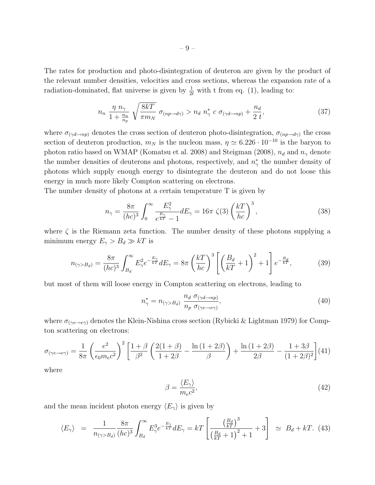The rates for production and photo-disintegration of deuteron are given by the product of the relevant number densities, velocities and cross sections, whereas the expansion rate of a radiation-dominated, flat universe is given by  $\frac{1}{2t}$  with t from eq. (1), leading to:

$$
n_n \frac{\eta n_\gamma}{1 + \frac{n_n}{n_p}} \sqrt{\frac{8kT}{\pi m_N}} \sigma_{(np \to d\gamma)} > n_d n_\gamma^* c \sigma_{(\gamma d \to np)} + \frac{n_d}{2 t}, \qquad (37)
$$

where  $\sigma_{(\gamma d \to np)}$  denotes the cross section of deuteron photo-disintegration,  $\sigma_{(np\to d\gamma)}$  the cross section of deuteron production,  $m_N$  is the nucleon mass,  $\eta \simeq 6.226 \cdot 10^{-10}$  is the baryon to photon ratio based on WMAP (Komatsu et al. 2008) and Steigman (2008),  $n_d$  and  $n_\gamma$  denote the number densities of deuterons and photons, respectively, and  $n^*_{\gamma}$  the number density of photons which supply enough energy to disintegrate the deuteron and do not loose this energy in much more likely Compton scattering on electrons.

The number density of photons at a certain temperature T is given by

$$
n_{\gamma} = \frac{8\pi}{(hc)^3} \int_0^{\infty} \frac{E_{\gamma}^2}{e^{\frac{E_{\gamma}}{kT}} - 1} dE_{\gamma} = 16\pi \zeta(3) \left(\frac{k}{hc}\right)^3, \tag{38}
$$

where  $\zeta$  is the Riemann zeta function. The number density of these photons supplying a minimum energy  $E_{\gamma} > B_d \gg kT$  is

$$
n_{(\gamma>B_d)} = \frac{8\pi}{(hc)^3} \int_{B_d}^{\infty} E_\gamma^2 e^{-\frac{E_\gamma}{kT}} dE_\gamma = 8\pi \left(\frac{k}{hc}\right)^3 \left[ \left(\frac{B_d}{kT} + 1\right)^2 + 1 \right] e^{-\frac{B_d}{kT}},\tag{39}
$$

but most of them will loose energy in Compton scattering on electrons, leading to

$$
n_{\gamma}^* = n_{(\gamma > B_d)} \frac{n_d \sigma_{(\gamma d \to np)}}{n_p \sigma_{(\gamma e \to e \gamma)}},\tag{40}
$$

where  $\sigma_{(\gamma e \to e\gamma)}$  denotes the Klein-Nishina cross section (Rybicki & Lightman 1979) for Compton scattering on electrons:

$$
\sigma_{(\gamma e \to e\gamma)} = \frac{1}{8\pi} \left(\frac{e^2}{\epsilon_0 m_e c^2}\right)^2 \left[\frac{1+\beta}{\beta^2} \left(\frac{2(1+\beta)}{1+2\beta} - \frac{\ln(1+2\beta)}{\beta}\right) + \frac{\ln(1+2\beta)}{2\beta} - \frac{1+3\beta}{(1+2\beta)^2}\right] (41)
$$

where

$$
\beta = \frac{\langle E_{\gamma} \rangle}{m_e c^2},\tag{42}
$$

and the mean incident photon energy  $\langle E_{\gamma} \rangle$  is given by

$$
\langle E_{\gamma} \rangle = \frac{1}{n_{(\gamma > B_d)}} \frac{8\pi}{(hc)^3} \int_{B_d}^{\infty} E_{\gamma}^3 e^{-\frac{E_{\gamma}}{kT}} dE_{\gamma} = kT \left[ \frac{\left(\frac{B_d}{kT}\right)^3}{\left(\frac{B_d}{kT} + 1\right)^2 + 1} + 3 \right] \simeq B_d + kT. \tag{43}
$$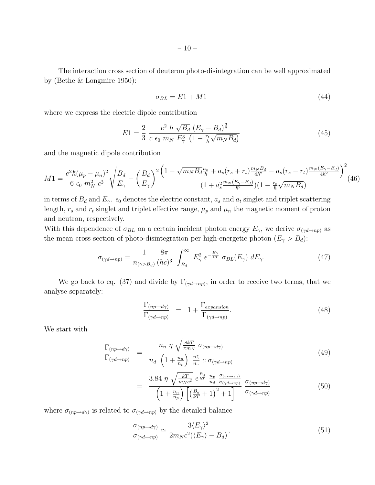The interaction cross section of deuteron photo-disintegration can be well approximated by (Bethe & Longmire 1950):

$$
\sigma_{BL} = E1 + M1 \tag{44}
$$

where we express the electric dipole contribution

$$
E1 = \frac{2}{3} \frac{e^2 \hbar \sqrt{B_d} (E_{\gamma} - B_d)^{\frac{3}{2}}}{c \epsilon_0 m_N E_{\gamma}^3 (1 - \frac{r_t}{\hbar} \sqrt{m_N B_d})}
$$
(45)

and the magnetic dipole contribution

$$
M1 = \frac{e^2 \hbar (\mu_p - \mu_n)^2}{6 \epsilon_0 m_N^2 c^3} \sqrt{\frac{B_d}{E_\gamma} - \left(\frac{B_d}{E_\gamma}\right)^2} \frac{\left(1 - \sqrt{m_N B_d} \frac{a_s}{\hbar} + a_s (r_s + r_t) \frac{m_N B_d}{4\hbar^2} - a_s (r_s - r_t) \frac{m_N (E_\gamma - B_d)}{4\hbar^2}\right)^2}{(1 + a_s^2 \frac{m_N (E_\gamma - B_d)}{\hbar^2})(1 - \frac{r_t}{\hbar} \sqrt{m_N B_d})} (46)
$$

in terms of  $B_d$  and  $E_\gamma$ .  $\epsilon_0$  denotes the electric constant,  $a_s$  and  $a_t$  singlet and triplet scattering length,  $r_s$  and  $r_t$  singlet and triplet effective range,  $\mu_p$  and  $\mu_n$  the magnetic moment of proton and neutron, respectively.

With this dependence of  $\sigma_{BL}$  on a certain incident photon energy  $E_{\gamma}$ , we derive  $\sigma_{(\gamma d \to np)}$  as the mean cross section of photo-disintegration per high-energetic photon  $(E_{\gamma} > B_d)$ :

$$
\sigma_{(\gamma d \to np)} = \frac{1}{n_{(\gamma > B_d)}} \frac{8\pi}{(hc)^3} \int_{B_d}^{\infty} E_\gamma^2 e^{-\frac{E_\gamma}{kT}} \sigma_{BL}(E_\gamma) dE_\gamma.
$$
 (47)

We go back to eq. (37) and divide by  $\Gamma_{(\gamma d \to np)}$ , in order to receive two terms, that we analyse separately:

$$
\frac{\Gamma_{(np \to d\gamma)}}{\Gamma_{(\gamma d \to np)}} = 1 + \frac{\Gamma_{expansion}}{\Gamma_{(\gamma d \to np)}}.
$$
\n(48)

We start with

$$
\frac{\Gamma_{(np \to d\gamma)}}{\Gamma_{(\gamma d \to np)}} = \frac{n_n \eta \sqrt{\frac{8kT}{\pi m_N}} \sigma_{(np \to d\gamma)}}{n_d \left(1 + \frac{n_n}{n_p}\right) \frac{n_{\gamma}^*}{n_{\gamma}} c \sigma_{(\gamma d \to np)}}
$$
(49)

$$
= \frac{3.84 \ \eta \ \sqrt{\frac{kT}{m_N c^2}} \ e^{\frac{B_d}{kT}} \ \frac{n_p}{n_d} \ \frac{\sigma_{(\gamma e \to e\gamma)}}{\sigma_{(\gamma d \to np)}}}{\left(1 + \frac{n_n}{n_p}\right) \left[\left(\frac{B_d}{kT} + 1\right)^2 + 1\right]} \ \frac{\sigma_{(np \to d\gamma)}}{\sigma_{(\gamma d \to np)}} \tag{50}
$$

where  $\sigma_{(np\rightarrow d\gamma)}$  is related to  $\sigma_{(\gamma d\rightarrow np)}$  by the detailed balance

$$
\frac{\sigma_{(np \to d\gamma)}}{\sigma_{(\gamma d \to np)}} \simeq \frac{3 \langle E_\gamma \rangle^2}{2m_N c^2 (\langle E_\gamma \rangle - B_d)},\tag{51}
$$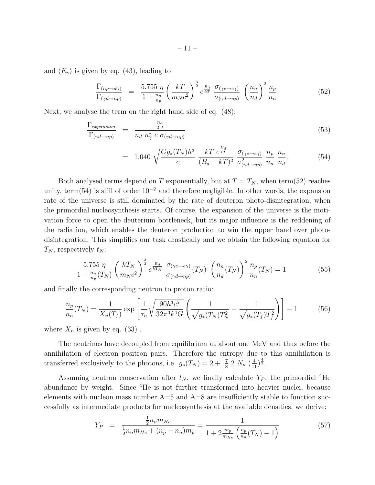and  $\langle E_{\gamma} \rangle$  is given by eq. (43), leading to

$$
\frac{\Gamma_{(np \to d\gamma)}}{\Gamma_{(\gamma d \to np)}} = \frac{5.755 \ \eta}{1 + \frac{n_n}{n_p}} \left(\frac{kT}{m_N c^2}\right)^{\frac{3}{2}} e^{\frac{B_d}{kT}} \ \frac{\sigma_{(\gamma e \to e\gamma)}}{\sigma_{(\gamma d \to np)}} \ \left(\frac{n_n}{n_d}\right)^2 \frac{n_p}{n_n}.\tag{52}
$$

Next, we analyse the term on the right hand side of eq. (48):

$$
\frac{\Gamma_{expansion}}{\Gamma_{(\gamma d \to np)}} = \frac{\frac{n_d}{2 t}}{n_d n_{\gamma}^* c \sigma_{(\gamma d \to np)}}
$$
(53)

$$
= 1.040 \sqrt{\frac{Gg_*(T_N)h^3}{c}} \frac{kT e^{\frac{B_d}{kT}}}{(B_d + kT)^2} \frac{\sigma_{(\gamma e \to e\gamma)}}{\sigma_{(\gamma d \to np)}^2} \frac{n_p}{n_n} \frac{n_n}{n_d}.
$$
 (54)

Both analysed terms depend on T exponentially, but at  $T = T_N$ , when term(52) reaches unity, term(54) is still of order  $10^{-2}$  and therefore negligible. In other words, the expansion rate of the universe is still dominated by the rate of deuteron photo-disintegration, when the primordial nucleosynthesis starts. Of course, the expansion of the universe is the motivation force to open the deuterium bottleneck, but its major influence is the reddening of the radiation, which enables the deuteron production to win the upper hand over photodisintegration. This simplifies our task drastically and we obtain the following equation for  $T_N$ , respectively  $t_N$ :

$$
\frac{5.755 \ \eta}{1 + \frac{n_n}{n_p}(T_N)} \left(\frac{kT_N}{m_N c^2}\right)^{\frac{3}{2}} e^{\frac{B_d}{kT_N}} \ \frac{\sigma_{(\gamma e \to e\gamma)}}{\sigma_{(\gamma d \to np)}}(T_N) \ \left(\frac{n_n}{n_d}(T_N)\right)^2 \frac{n_p}{n_n}(T_N) = 1 \tag{55}
$$

and finally the corresponding neutron to proton ratio:

$$
\frac{n_p}{n_n}(T_N) = \frac{1}{X_n(T_f)} \exp\left[\frac{1}{\tau_n} \sqrt{\frac{90\hbar^3 c^5}{32\pi^3 k^4 G}} \left(\frac{1}{\sqrt{g_*(T_N)}T_N^2} - \frac{1}{\sqrt{g_*(T_f)}T_f^2}\right)\right] - 1\tag{56}
$$

where  $X_n$  is given by eq. (33).

The neutrinos have decoupled from equilibrium at about one MeV and thus before the annihilation of electron positron pairs. Therefore the entropy due to this annihilation is transferred exclusively to the photons, i.e.  $g_*(T_N) = 2 + \frac{7}{8} 2 N_\nu \left(\frac{4}{11}\right)^{\frac{4}{3}}$ .

Assuming neutron conservation after  $t_N$ , we finally calculate  $Y_P$ , the primordial <sup>4</sup>He abundance by weight. Since <sup>4</sup>He is not further transformed into heavier nuclei, because elements with nucleon mass number  $A=5$  and  $A=8$  are insufficiently stable to function successfully as intermediate products for nucleosynthesis at the available densities, we derive:

$$
Y_P = \frac{\frac{1}{2}n_n m_{He}}{\frac{1}{2}n_n m_{He} + (n_p - n_n)m_p} = \frac{1}{1 + 2\frac{m_p}{m_{He}}\left(\frac{n_p}{n_n}(T_N) - 1\right)}
$$
(57)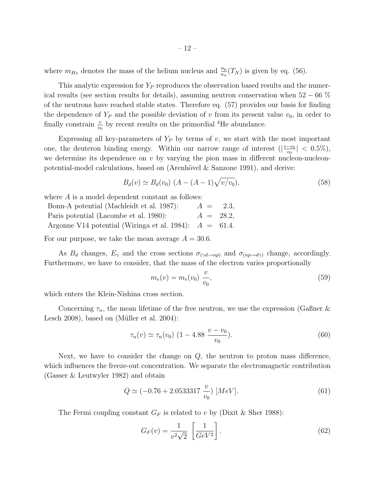where  $m_{He}$  denotes the mass of the helium nucleus and  $\frac{n_p}{n_n}(T_N)$  is given by eq. (56).

This analytic expression for  $Y_P$  reproduces the observation based results and the numerical results (see section results for details), assuming neutron conservation when  $52 - 66\%$ of the neutrons have reached stable states. Therefore eq. (57) provides our basis for finding the dependence of  $Y_P$  and the possible deviation of v from its present value  $v_0$ , in order to finally constrain  $\frac{v}{v_0}$  by recent results on the primordial <sup>4</sup>He abundance.

Expressing all key-parameters of  $Y_P$  by terms of v, we start with the most important one, the deuteron binding energy. Within our narrow range of interest  $\left(\frac{v-v_0}{v_0}\right)$  $\frac{-v_0}{v_0}| < 0.5\%$ ), we determine its dependence on  $v$  by varying the pion mass in different nucleon-nucleonpotential-model calculations, based on (Arenhövel  $\&$  Sanzone 1991), and derive:

$$
B_d(v) \simeq B_d(v_0) \ (A - (A - 1)\sqrt{v/v_0}), \tag{58}
$$

where A is a model dependent constant as follows:

Bonn-A potential (Machleidt et al. 1987):  $A = 2.3$ , Paris potential (Lacombe et al. 1980):  $A = 28.2$ , Argonne V14 potential (Wiringa et al. 1984):  $A = 61.4$ .

For our purpose, we take the mean average  $A = 30.6$ .

As  $B_d$  changes,  $E_\gamma$  and the cross sections  $\sigma_{(\gamma d \to np)}$  and  $\sigma_{(np \to d\gamma)}$  change, accordingly. Furthermore, we have to consider, that the mass of the electron varies proportionally

$$
m_e(v) = m_e(v_0) \frac{v}{v_0},
$$
\n(59)

which enters the Klein-Nishina cross section.

Concerning  $\tau_n$ , the mean lifetime of the free neutron, we use the expression (Gasner & Lesch 2008), based on (Müller et al.  $2004$ ):

$$
\tau_n(v) \simeq \tau_n(v_0) \ (1 - 4.88 \ \frac{v - v_0}{v_0}). \tag{60}
$$

Next, we have to consider the change on  $Q$ , the neutron to proton mass difference, which influences the freeze-out concentration. We separate the electromagnetic contribution (Gasser & Leutwyler 1982) and obtain

$$
Q \simeq (-0.76 + 2.0533317 \frac{v}{v_0}) \,[MeV].\tag{61}
$$

The Fermi coupling constant  $G_F$  is related to v by (Dixit & Sher 1988):

$$
G_F(v) = \frac{1}{v^2 \sqrt{2}} \left[ \frac{1}{GeV^2} \right].
$$
\n(62)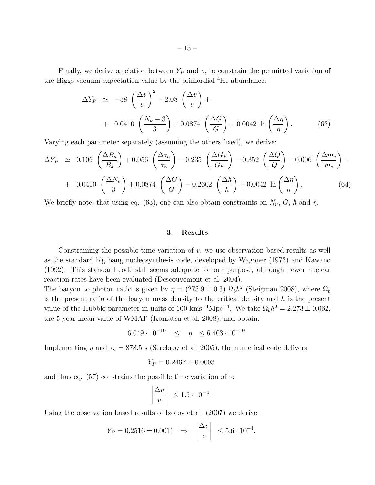Finally, we derive a relation between  $Y_P$  and v, to constrain the permitted variation of the Higgs vacuum expectation value by the primordial <sup>4</sup>He abundance:

$$
\Delta Y_P \simeq -38 \left(\frac{\Delta v}{v}\right)^2 - 2.08 \left(\frac{\Delta v}{v}\right) +
$$
  
+ 0.0410 \left(\frac{N\_{\nu} - 3}{3}\right) + 0.0874 \left(\frac{\Delta G}{G}\right) + 0.0042 \ln\left(\frac{\Delta \eta}{\eta}\right). (63)

Varying each parameter separately (assuming the others fixed), we derive:

$$
\Delta Y_P \approx 0.106 \left(\frac{\Delta B_d}{B_d}\right) + 0.056 \left(\frac{\Delta \tau_n}{\tau_n}\right) - 0.235 \left(\frac{\Delta G_F}{G_F}\right) - 0.352 \left(\frac{\Delta Q}{Q}\right) - 0.006 \left(\frac{\Delta m_e}{m_e}\right) +
$$
  
+ 0.0410  $\left(\frac{\Delta N_\nu}{3}\right) + 0.0874 \left(\frac{\Delta G}{G}\right) - 0.2602 \left(\frac{\Delta \hbar}{\hbar}\right) + 0.0042 \ln \left(\frac{\Delta \eta}{\eta}\right).$  (64)

We briefly note, that using eq. (63), one can also obtain constraints on  $N_{\nu}$ ,  $G$ ,  $\hbar$  and  $\eta$ .

### 3. Results

Constraining the possible time variation of  $v$ , we use observation based results as well as the standard big bang nucleosynthesis code, developed by Wagoner (1973) and Kawano (1992). This standard code still seems adequate for our purpose, although newer nuclear reaction rates have been evaluated (Descouvemont et al. 2004).

The baryon to photon ratio is given by  $\eta = (273.9 \pm 0.3) \Omega_b h^2$  (Steigman 2008), where  $\Omega_b$ is the present ratio of the baryon mass density to the critical density and  $h$  is the present value of the Hubble parameter in units of 100 kms<sup>-1</sup>Mpc<sup>-1</sup>. We take  $\Omega_b h^2 = 2.273 \pm 0.062$ , the 5-year mean value of WMAP (Komatsu et al. 2008), and obtain:

$$
6.049 \cdot 10^{-10} \quad \leq \quad \eta \quad \leq 6.403 \cdot 10^{-10}.
$$

Implementing  $\eta$  and  $\tau_n = 878.5$  s (Serebrov et al. 2005), the numerical code delivers

$$
Y_P = 0.2467 \pm 0.0003
$$

and thus eq.  $(57)$  constrains the possible time variation of v:

$$
\left|\frac{\Delta v}{v}\right| \le 1.5 \cdot 10^{-4}.
$$

Using the observation based results of Izotov et al. (2007) we derive

$$
Y_P = 0.2516 \pm 0.0011 \Rightarrow \left| \frac{\Delta v}{v} \right| \le 5.6 \cdot 10^{-4}.
$$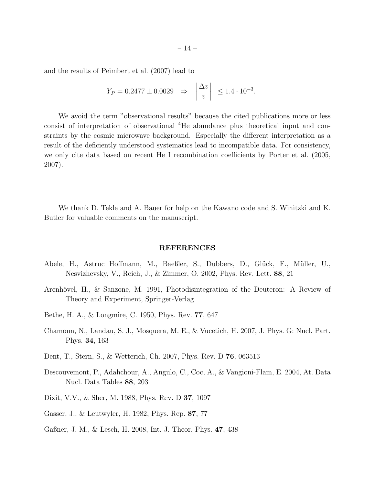and the results of Peimbert et al. (2007) lead to

$$
Y_P = 0.2477 \pm 0.0029 \Rightarrow \left| \frac{\Delta v}{v} \right| \le 1.4 \cdot 10^{-3}.
$$

We avoid the term "observational results" because the cited publications more or less consist of interpretation of observational <sup>4</sup>He abundance plus theoretical input and constraints by the cosmic microwave background. Especially the different interpretation as a result of the deficiently understood systematics lead to incompatible data. For consistency, we only cite data based on recent He I recombination coefficients by Porter et al. (2005, 2007).

We thank D. Tekle and A. Bauer for help on the Kawano code and S. Winitzki and K. Butler for valuable comments on the manuscript.

#### REFERENCES

- Abele, H., Astruc Hoffmann, M., Baeßler, S., Dubbers, D., Glück, F., Müller, U., Nesvizhevsky, V., Reich, J., & Zimmer, O. 2002, Phys. Rev. Lett. 88, 21
- Arenhövel, H., & Sanzone, M. 1991, Photodisintegration of the Deuteron: A Review of Theory and Experiment, Springer-Verlag
- Bethe, H. A., & Longmire, C. 1950, Phys. Rev. 77, 647
- Chamoun, N., Landau, S. J., Mosquera, M. E., & Vucetich, H. 2007, J. Phys. G: Nucl. Part. Phys. 34, 163
- Dent, T., Stern, S., & Wetterich, Ch. 2007, Phys. Rev. D 76, 063513
- Descouvemont, P., Adahchour, A., Angulo, C., Coc, A., & Vangioni-Flam, E. 2004, At. Data Nucl. Data Tables 88, 203
- Dixit, V.V., & Sher, M. 1988, Phys. Rev. D 37, 1097
- Gasser, J., & Leutwyler, H. 1982, Phys. Rep. 87, 77
- Gaßner, J. M., & Lesch, H. 2008, Int. J. Theor. Phys. 47, 438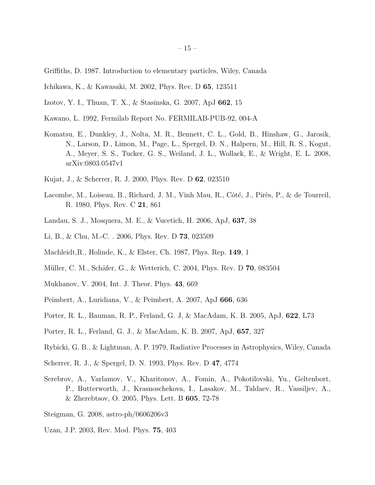- Griffiths, D. 1987. Introduction to elementary particles, Wiley, Canada
- Ichikawa, K., & Kawasaki, M. 2002, Phys. Rev. D 65, 123511
- Izotov, Y. I., Thuan, T. X., & Stasinska, G. 2007, ApJ 662, 15
- Kawano, L. 1992, Fermilab Report No. FERMILAB-PUB-92, 004-A
- Komatsu, E., Dunkley, J., Nolta, M. R., Bennett, C. L., Gold, B., Hinshaw, G., Jarosik, N., Larson, D., Limon, M., Page, L., Spergel, D. N., Halpern, M., Hill, R. S., Kogut, A., Meyer, S. S., Tucker, G. S., Weiland, J. L., Wollack, E., & Wright, E. L. 2008, arXiv:0803.0547v1
- Kujat, J., & Scherrer, R. J. 2000, Phys. Rev. D 62, 023510
- Lacombe, M., Loiseau, B., Richard, J. M., Vinh Mau, R., Côté, J., Pirès, P., & de Tourreil, R. 1980, Phys. Rev. C 21, 861
- Landau, S. J., Mosquera, M. E., & Vucetich, H. 2006, ApJ, 637, 38
- Li, B., & Chu, M.-C. . 2006, Phys. Rev. D 73, 023509
- Machleidt,R., Holinde, K., & Elster, Ch. 1987, Phys. Rep. 149, 1
- Müller, C. M., Schäfer, G., & Wetterich, C. 2004, Phys. Rev. D **70**, 083504
- Mukhanov, V. 2004, Int. J. Theor. Phys. 43, 669
- Peimbert, A., Luridiana, V., & Peimbert, A. 2007, ApJ 666, 636
- Porter, R. L., Bauman, R. P., Ferland, G. J, & MacAdam, K. B. 2005, ApJ, 622, L73
- Porter, R. L., Ferland, G. J., & MacAdam, K. B. 2007, ApJ, 657, 327
- Rybicki, G. B., & Lightman, A. P. 1979, Radiative Processes in Astrophysics, Wiley, Canada
- Scherrer, R. J., & Spergel, D. N. 1993, Phys. Rev. D 47, 4774
- Serebrov, A., Varlamov, V., Kharitonov, A., Fomin, A., Pokotilovski, Yu., Geltenbort, P., Butterworth, J., Krasnoschekova, I., Lasakov, M., Taldaev, R., Vassiljev, A., & Zherebtsov, O. 2005, Phys. Lett. B 605, 72-78
- Steigman, G. 2008, astro-ph/0606206v3
- Uzan, J.P. 2003, Rev. Mod. Phys. 75, 403